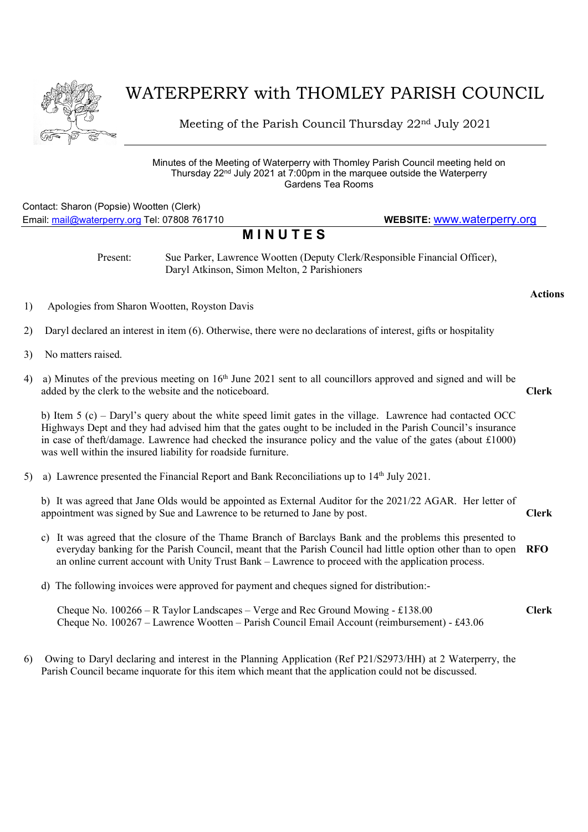

## WATERPERRY with THOMLEY PARISH COUNCIL

Meeting of the Parish Council Thursday 22nd July 2021

Minutes of the Meeting of Waterperry with Thomley Parish Council meeting held on Thursday 22nd July 2021 at 7:00pm in the marquee outside the Waterperry Gardens Tea Rooms

## Contact: Sharon (Popsie) Wootten (Clerk) Email: mail@waterperry.org Tel: 07808 761710 WEBSITE: www.waterperry.org

## **MINUTES**

Present: Sue Parker, Lawrence Wootten (Deputy Clerk/Responsible Financial Officer), Daryl Atkinson, Simon Melton, 2 Parishioners

- 1) Apologies from Sharon Wootten, Royston Davis
- 2) Daryl declared an interest in item (6). Otherwise, there were no declarations of interest, gifts or hospitality
- 3) No matters raised.
- 4) a) Minutes of the previous meeting on  $16<sup>th</sup>$  June 2021 sent to all councillors approved and signed and will be added by the clerk to the website and the noticeboard.

Clerk

Actions

b) Item 5 (c) – Daryl's query about the white speed limit gates in the village. Lawrence had contacted OCC Highways Dept and they had advised him that the gates ought to be included in the Parish Council's insurance in case of theft/damage. Lawrence had checked the insurance policy and the value of the gates (about £1000) was well within the insured liability for roadside furniture.

5) a) Lawrence presented the Financial Report and Bank Reconciliations up to  $14<sup>th</sup>$  July 2021.

b) It was agreed that Jane Olds would be appointed as External Auditor for the 2021/22 AGAR. Her letter of appointment was signed by Sue and Lawrence to be returned to Jane by post. Clerk

- c) It was agreed that the closure of the Thame Branch of Barclays Bank and the problems this presented to everyday banking for the Parish Council, meant that the Parish Council had little option other than to open an online current account with Unity Trust Bank – Lawrence to proceed with the application process. RFO
- d) The following invoices were approved for payment and cheques signed for distribution:-

 Cheque No. 100266 – R Taylor Landscapes – Verge and Rec Ground Mowing - £138.00 Cheque No. 100267 – Lawrence Wootten – Parish Council Email Account (reimbursement) - £43.06 Clerk

6) Owing to Daryl declaring and interest in the Planning Application (Ref P21/S2973/HH) at 2 Waterperry, the Parish Council became inquorate for this item which meant that the application could not be discussed.